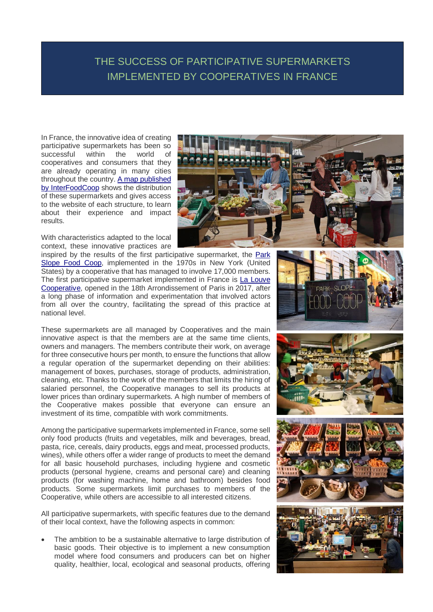## THE SUCCESS OF PARTICIPATIVE SUPERMARKETS IMPLEMENTED BY COOPERATIVES IN FRANCE

In France, the innovative idea of creating participative supermarkets has been so successful within the world of cooperatives and consumers that they are already operating in many cities throughout the country[. A map published](https://interfoodcoop.github.io/supermarches_cooperatifs/)  [by InterFoodCoop](https://interfoodcoop.github.io/supermarches_cooperatifs/) shows the distribution of these supermarkets and gives access to the website of each structure, to learn about their experience and impact results.

With characteristics adapted to the local context, these innovative practices are

inspired by the results of the first participative supermarket, the [Park](https://www.foodcoop.com/) Slope Food [Coop,](https://www.foodcoop.com/) implemented in the 1970s in New York (United States) by a cooperative that has managed to involve 17,000 members. The first participative supermarket implemented in France is La [Louve](https://cooplalouve.fr/) [Cooperative,](https://cooplalouve.fr/) opened in the 18th Arrondissement of Paris in 2017, after a long phase of information and experimentation that involved actors from all over the country, facilitating the spread of this practice at national level.

These supermarkets are all managed by Cooperatives and the main innovative aspect is that the members are at the same time clients, owners and managers. The members contribute their work, on average for three consecutive hours per month, to ensure the functions that allow a regular operation of the supermarket depending on their abilities: management of boxes, purchases, storage of products, administration, cleaning, etc. Thanks to the work of the members that limits the hiring of salaried personnel, the Cooperative manages to sell its products at lower prices than ordinary supermarkets. A high number of members of the Cooperative makes possible that everyone can ensure an investment of its time, compatible with work commitments.

Among the participative supermarkets implemented in France, some sell only food products (fruits and vegetables, milk and beverages, bread, pasta, rice, cereals, dairy products, eggs and meat, processed products, wines), while others offer a wider range of products to meet the demand for all basic household purchases, including hygiene and cosmetic products (personal hygiene, creams and personal care) and cleaning products (for washing machine, home and bathroom) besides food products. Some supermarkets limit purchases to members of the Cooperative, while others are accessible to all interested citizens.

All participative supermarkets, with specific features due to the demand of their local context, have the following aspects in common:

 The ambition to be a sustainable alternative to large distribution of basic goods. Their objective is to implement a new consumption model where food consumers and producers can bet on higher quality, healthier, local, ecological and seasonal products, offering



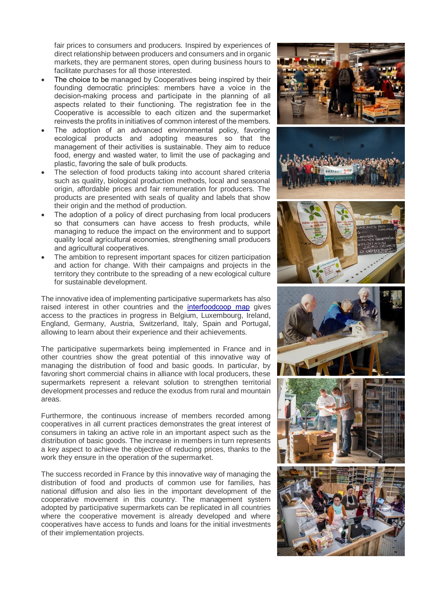fair prices to consumers and producers. Inspired by experiences of direct relationship between producers and consumers and in organic markets, they are permanent stores, open during business hours to facilitate purchases for all those interested.

- The choice to be managed by Cooperatives being inspired by their founding democratic principles: members have a voice in the decision-making process and participate in the planning of all aspects related to their functioning. The registration fee in the Cooperative is accessible to each citizen and the supermarket reinvests the profits in initiatives of common interest of the members.
- The adoption of an advanced environmental policy, favoring ecological products and adopting measures so that the management of their activities is sustainable. They aim to reduce food, energy and wasted water, to limit the use of packaging and plastic, favoring the sale of bulk products.
- The selection of food products taking into account shared criteria such as quality, biological production methods, local and seasonal origin, affordable prices and fair remuneration for producers. The products are presented with seals of quality and labels that show their origin and the method of production.
- The adoption of a policy of direct purchasing from local producers so that consumers can have access to fresh products, while managing to reduce the impact on the environment and to support quality local agricultural economies, strengthening small producers and agricultural cooperatives.
- The ambition to represent important spaces for citizen participation and action for change. With their campaigns and projects in the territory they contribute to the spreading of a new ecological culture for sustainable development.

The innovative idea of implementing participative supermarkets has also raised interest in other countries and the [interfoodcoop map](https://interfoodcoop.github.io/supermarches_cooperatifs/) gives access to the practices in progress in Belgium, Luxembourg, Ireland, England, Germany, Austria, Switzerland, Italy, Spain and Portugal, allowing to learn about their experience and their achievements.

The participative supermarkets being implemented in France and in other countries show the great potential of this innovative way of managing the distribution of food and basic goods. In particular, by favoring short commercial chains in alliance with local producers, these supermarkets represent a relevant solution to strengthen territorial development processes and reduce the exodus from rural and mountain areas.

Furthermore, the continuous increase of members recorded among cooperatives in all current practices demonstrates the great interest of consumers in taking an active role in an important aspect such as the distribution of basic goods. The increase in members in turn represents a key aspect to achieve the objective of reducing prices, thanks to the work they ensure in the operation of the supermarket.

The success recorded in France by this innovative way of managing the distribution of food and products of common use for families, has national diffusion and also lies in the important development of the cooperative movement in this country. The management system adopted by participative supermarkets can be replicated in all countries where the cooperative movement is already developed and where cooperatives have access to funds and loans for the initial investments of their implementation projects.